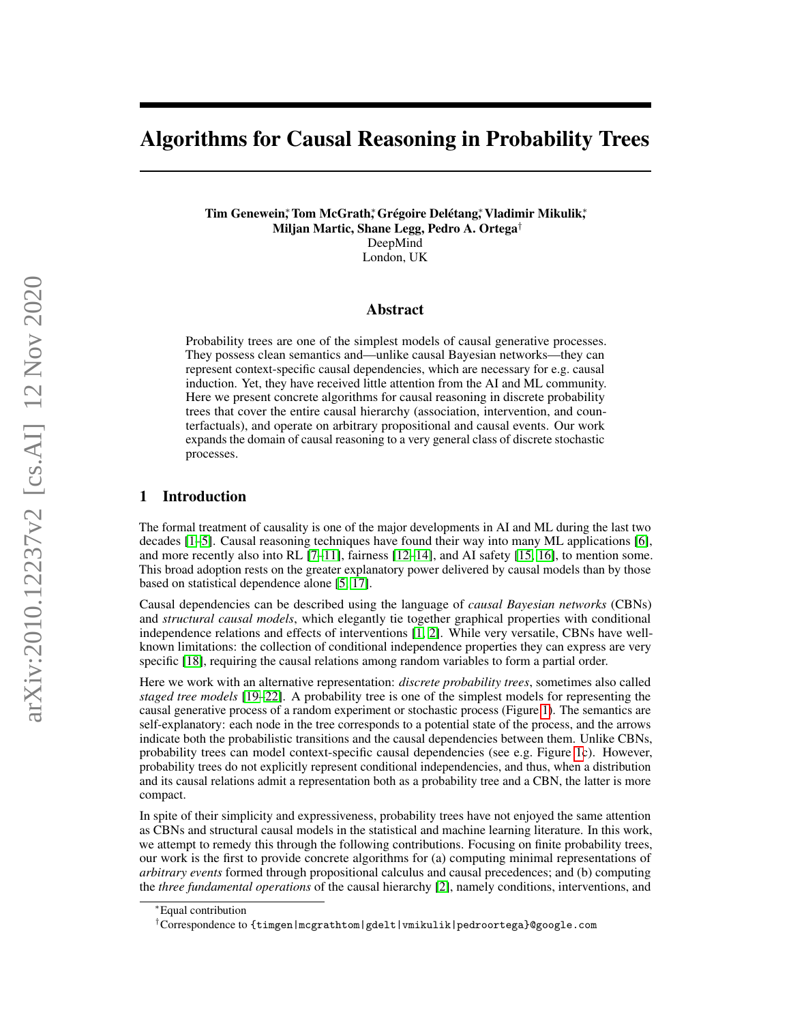# Algorithms for Causal Reasoning in Probability Trees

Tim Genewein; Tom McGrath; Grégoire Delétang; Vladimir Mikulik; Miljan Martic, Shane Legg, Pedro A. Ortega† DeepMind London, UK

#### Abstract

Probability trees are one of the simplest models of causal generative processes. They possess clean semantics and—unlike causal Bayesian networks—they can represent context-specific causal dependencies, which are necessary for e.g. causal induction. Yet, they have received little attention from the AI and ML community. Here we present concrete algorithms for causal reasoning in discrete probability trees that cover the entire causal hierarchy (association, intervention, and counterfactuals), and operate on arbitrary propositional and causal events. Our work expands the domain of causal reasoning to a very general class of discrete stochastic processes.

## 1 Introduction

The formal treatment of causality is one of the major developments in AI and ML during the last two decades [\[1](#page-9-0)[–5\]](#page-9-1). Causal reasoning techniques have found their way into many ML applications [\[6\]](#page-9-2), and more recently also into RL  $[7-11]$  $[7-11]$ , fairness  $[12-14]$  $[12-14]$ , and AI safety  $[15, 16]$  $[15, 16]$  $[15, 16]$ , to mention some. This broad adoption rests on the greater explanatory power delivered by causal models than by those based on statistical dependence alone [\[5,](#page-9-1) [17\]](#page-9-9).

Causal dependencies can be described using the language of *causal Bayesian networks* (CBNs) and *structural causal models*, which elegantly tie together graphical properties with conditional independence relations and effects of interventions [\[1,](#page-9-0) [2\]](#page-9-10). While very versatile, CBNs have wellknown limitations: the collection of conditional independence properties they can express are very specific [\[18\]](#page-9-11), requiring the causal relations among random variables to form a partial order.

Here we work with an alternative representation: *discrete probability trees*, sometimes also called *staged tree models* [\[19–](#page-10-0)[22\]](#page-10-1). A probability tree is one of the simplest models for representing the causal generative process of a random experiment or stochastic process (Figure [1\)](#page-1-0). The semantics are self-explanatory: each node in the tree corresponds to a potential state of the process, and the arrows indicate both the probabilistic transitions and the causal dependencies between them. Unlike CBNs, probability trees can model context-specific causal dependencies (see e.g. Figure [1c](#page-1-0)). However, probability trees do not explicitly represent conditional independencies, and thus, when a distribution and its causal relations admit a representation both as a probability tree and a CBN, the latter is more compact.

In spite of their simplicity and expressiveness, probability trees have not enjoyed the same attention as CBNs and structural causal models in the statistical and machine learning literature. In this work, we attempt to remedy this through the following contributions. Focusing on finite probability trees, our work is the first to provide concrete algorithms for (a) computing minimal representations of *arbitrary events* formed through propositional calculus and causal precedences; and (b) computing the *three fundamental operations* of the causal hierarchy [\[2\]](#page-9-10), namely conditions, interventions, and

<sup>∗</sup>Equal contribution

<sup>†</sup>Correspondence to {timgen|mcgrathtom|gdelt|vmikulik|pedroortega}@google.com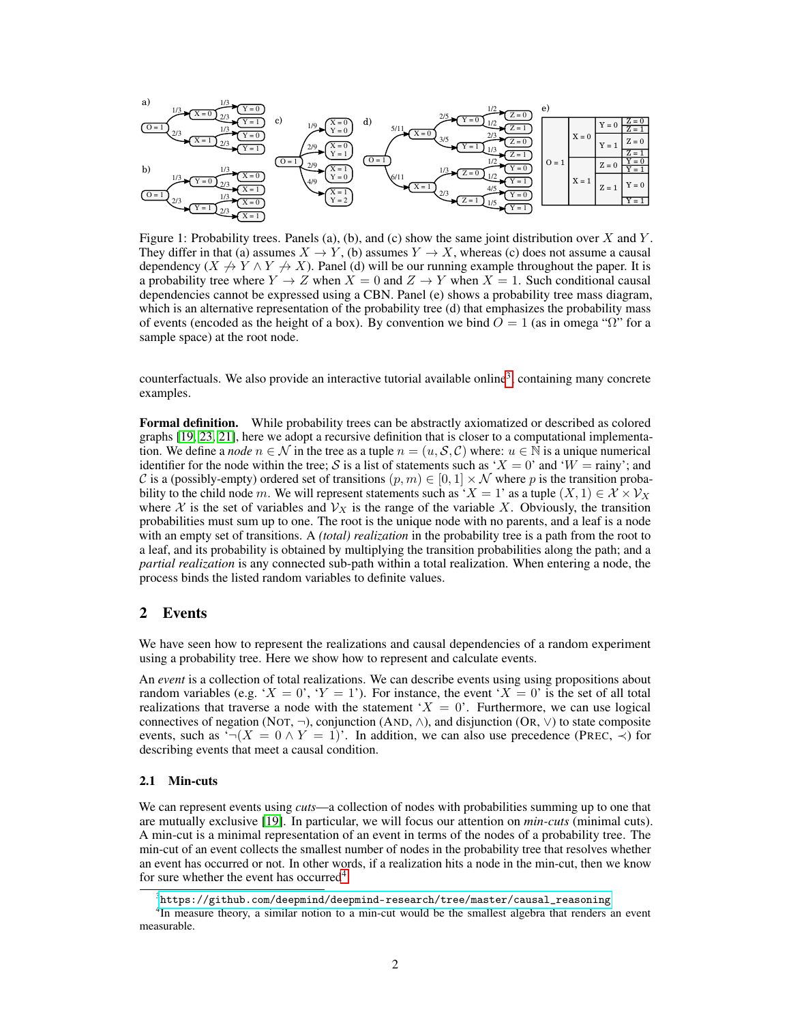<span id="page-1-0"></span>

Figure 1: Probability trees. Panels (a), (b), and (c) show the same joint distribution over X and Y. They differ in that (a) assumes  $X \to Y$ , (b) assumes  $Y \to X$ , whereas (c) does not assume a causal dependency  $(X \nrightarrow Y \wedge Y \nrightarrow X)$ . Panel (d) will be our running example throughout the paper. It is a probability tree where  $Y \to Z$  when  $X = 0$  and  $Z \to Y$  when  $X = 1$ . Such conditional causal dependencies cannot be expressed using a CBN. Panel (e) shows a probability tree mass diagram, which is an alternative representation of the probability tree (d) that emphasizes the probability mass of events (encoded as the height of a box). By convention we bind  $O = 1$  (as in omega " $\Omega$ " for a sample space) at the root node.

counterfactuals. We also provide an interactive tutorial available online<sup>[3](#page-1-1)</sup>, containing many concrete examples.

Formal definition. While probability trees can be abstractly axiomatized or described as colored graphs [\[19,](#page-10-0) [23,](#page-10-2) [21\]](#page-10-3), here we adopt a recursive definition that is closer to a computational implementation. We define a *node*  $n \in \mathcal{N}$  in the tree as a tuple  $n = (u, \mathcal{S}, \mathcal{C})$  where:  $u \in \mathbb{N}$  is a unique numerical identifier for the node within the tree; S is a list of statements such as 'X = 0' and 'W = rainy'; and C is a (possibly-empty) ordered set of transitions  $(p, m) \in [0, 1] \times \mathcal{N}$  where p is the transition probability to the child node m. We will represent statements such as ' $X = 1$ ' as a tuple  $(X, 1) \in \mathcal{X} \times \mathcal{V}_X$ where X is the set of variables and  $V_X$  is the range of the variable X. Obviously, the transition probabilities must sum up to one. The root is the unique node with no parents, and a leaf is a node with an empty set of transitions. A *(total) realization* in the probability tree is a path from the root to a leaf, and its probability is obtained by multiplying the transition probabilities along the path; and a *partial realization* is any connected sub-path within a total realization. When entering a node, the process binds the listed random variables to definite values.

#### 2 Events

We have seen how to represent the realizations and causal dependencies of a random experiment using a probability tree. Here we show how to represent and calculate events.

An *event* is a collection of total realizations. We can describe events using using propositions about random variables (e.g. ' $X = 0$ ', ' $Y = 1$ '). For instance, the event ' $X = 0$ ' is the set of all total realizations that traverse a node with the statement ' $X = 0$ '. Furthermore, we can use logical connectives of negation (NOT,  $\neg$ ), conjunction (AND,  $\wedge$ ), and disjunction (OR,  $\vee$ ) to state composite events, such as  $\lnot (X = 0 \land Y = 1)$ . In addition, we can also use precedence (PREC,  $\prec$ ) for describing events that meet a causal condition.

#### <span id="page-1-3"></span>2.1 Min-cuts

We can represent events using *cuts*—a collection of nodes with probabilities summing up to one that are mutually exclusive [\[19\]](#page-10-0). In particular, we will focus our attention on *min-cuts* (minimal cuts). A min-cut is a minimal representation of an event in terms of the nodes of a probability tree. The min-cut of an event collects the smallest number of nodes in the probability tree that resolves whether an event has occurred or not. In other words, if a realization hits a node in the min-cut, then we know for sure whether the event has occurred<sup>[4](#page-1-2)</sup>.

<span id="page-1-2"></span><span id="page-1-1"></span> $^3$ [https://github.com/deepmind/deepmind-research/tree/master/causal\\_reasoning](https://github.com/deepmind/deepmind-research/tree/master/causal_reasoning)

<sup>&</sup>lt;sup>4</sup>In measure theory, a similar notion to a min-cut would be the smallest algebra that renders an event measurable.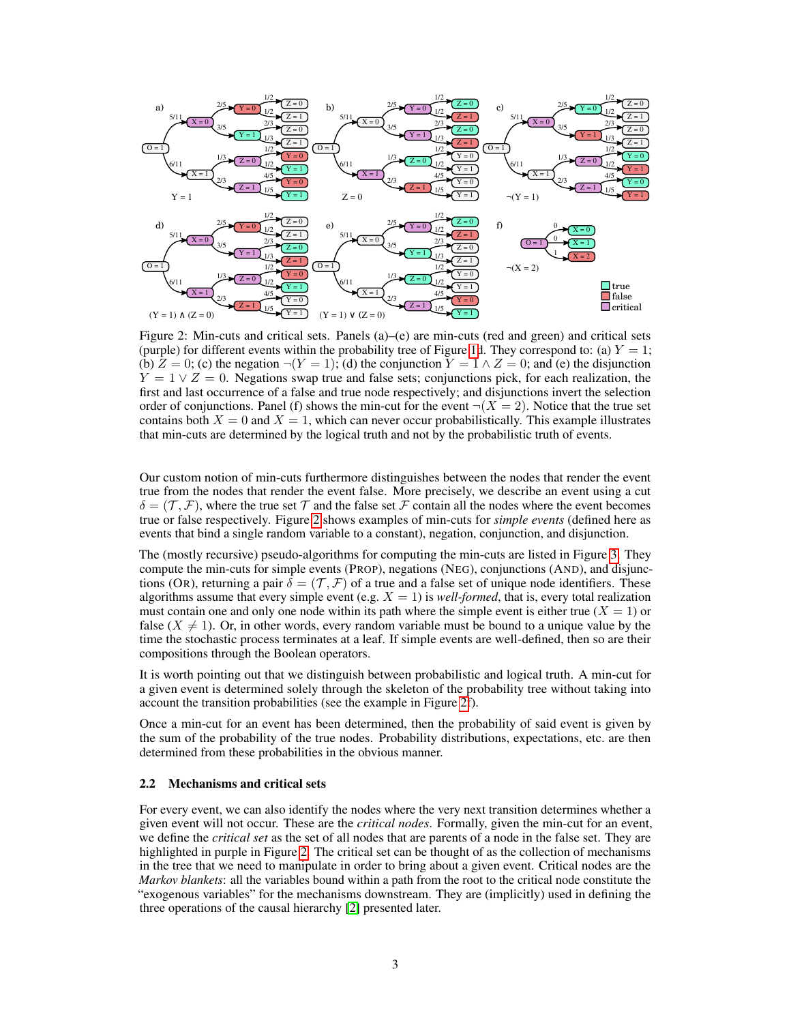<span id="page-2-0"></span>

Figure 2: Min-cuts and critical sets. Panels (a)–(e) are min-cuts (red and green) and critical sets (purple) for different events within the probability tree of Figure [1d](#page-1-0). They correspond to: (a)  $Y = 1$ ; (b)  $Z = 0$ ; (c) the negation  $\neg(Y = 1)$ ; (d) the conjunction  $Y = 1 \land Z = 0$ ; and (e) the disjunction  $Y = 1 \vee Z = 0$ . Negations swap true and false sets; conjunctions pick, for each realization, the first and last occurrence of a false and true node respectively; and disjunctions invert the selection order of conjunctions. Panel (f) shows the min-cut for the event  $\neg(X = 2)$ . Notice that the true set contains both  $X = 0$  and  $X = 1$ , which can never occur probabilistically. This example illustrates that min-cuts are determined by the logical truth and not by the probabilistic truth of events.

Our custom notion of min-cuts furthermore distinguishes between the nodes that render the event true from the nodes that render the event false. More precisely, we describe an event using a cut  $\delta = (\mathcal{T}, \mathcal{F})$ , where the true set  $\mathcal T$  and the false set  $\mathcal F$  contain all the nodes where the event becomes true or false respectively. Figure [2](#page-2-0) shows examples of min-cuts for *simple events* (defined here as events that bind a single random variable to a constant), negation, conjunction, and disjunction.

The (mostly recursive) pseudo-algorithms for computing the min-cuts are listed in Figure [3.](#page-3-0) They compute the min-cuts for simple events (PROP), negations (NEG), conjunctions (AND), and disjunctions (OR), returning a pair  $\delta = (\mathcal{T}, \mathcal{F})$  of a true and a false set of unique node identifiers. These algorithms assume that every simple event (e.g.  $X = 1$ ) is *well-formed*, that is, every total realization must contain one and only one node within its path where the simple event is either true  $(X = 1)$  or false ( $X \neq 1$ ). Or, in other words, every random variable must be bound to a unique value by the time the stochastic process terminates at a leaf. If simple events are well-defined, then so are their compositions through the Boolean operators.

It is worth pointing out that we distinguish between probabilistic and logical truth. A min-cut for a given event is determined solely through the skeleton of the probability tree without taking into account the transition probabilities (see the example in Figure [2f](#page-2-0)).

Once a min-cut for an event has been determined, then the probability of said event is given by the sum of the probability of the true nodes. Probability distributions, expectations, etc. are then determined from these probabilities in the obvious manner.

#### 2.2 Mechanisms and critical sets

For every event, we can also identify the nodes where the very next transition determines whether a given event will not occur. These are the *critical nodes*. Formally, given the min-cut for an event, we define the *critical set* as the set of all nodes that are parents of a node in the false set. They are highlighted in purple in Figure [2.](#page-2-0) The critical set can be thought of as the collection of mechanisms in the tree that we need to manipulate in order to bring about a given event. Critical nodes are the *Markov blankets*: all the variables bound within a path from the root to the critical node constitute the "exogenous variables" for the mechanisms downstream. They are (implicitly) used in defining the three operations of the causal hierarchy [\[2\]](#page-9-10) presented later.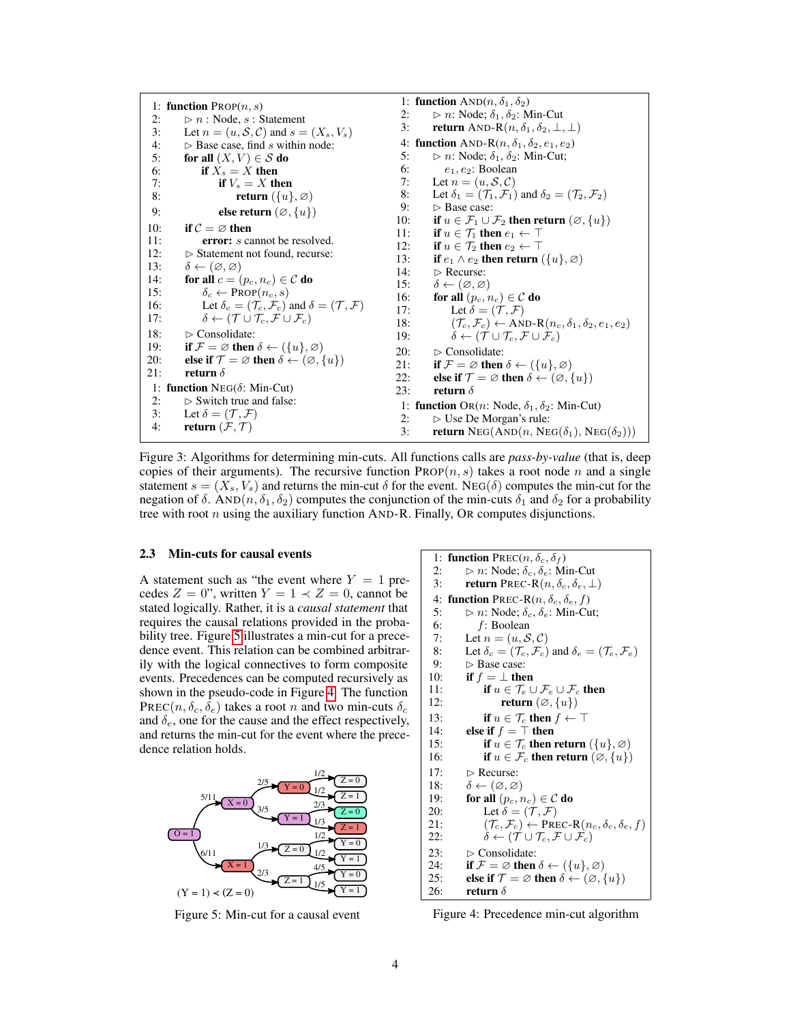<span id="page-3-0"></span>1: function  $PROP(n, s)$ 2:  $\triangleright n : \text{Node}, s : \text{Statement}$ <br>3: Let  $n = (u, S, C)$  and  $s =$ 3: Let  $n = (u, S, C)$  and  $s = (X_s, V_s)$ <br>4:  $\triangleright$  Base case, find s within node: 4:  $\triangleright$  Base case, find s within node:<br>5: **for all**  $(X, V) \in S$  **do** 5: for all  $(X, V) \in S$  do<br>6: if  $X_s = X$  then 6: if  $X_s = X$  then<br>7: if  $V_s = X$  th if  $V_s = X$  then 8: **return**  $({u}, \emptyset)$ 9: **else return**  $(\emptyset, \{u\})$ 10: if  $C = \emptyset$  then 11: **error:** *s* cannot be resolved.<br>12:  $\triangleright$  Statement not found recurse:  $\triangleright$  Statement not found, recurse: 13:  $\delta \leftarrow (\emptyset, \emptyset)$ 14: for all  $c = (p_c, n_c) \in \mathcal{C}$  do 15:  $\delta_c \leftarrow \text{PROP}(n_c, s)$ <br>16: Let  $\delta_c = (\mathcal{T}_c, \mathcal{F}_c)$ 16: Let  $\delta_c = (\mathcal{T}_c, \mathcal{F}_c)$  and  $\delta = (\mathcal{T}, \mathcal{F})$ <br>17:  $\delta \leftarrow (\mathcal{T} \cup \mathcal{T}_c, \mathcal{F} \cup \mathcal{F}_c)$  $\delta \leftarrow (\mathcal{T} \cup \mathcal{T}_c, \mathcal{F} \cup \mathcal{F}_c)$ 18:  $\triangleright$  Consolidate: 19: if  $\mathcal{F} = \emptyset$  then  $\delta \leftarrow (\{u\}, \emptyset)$ 20: **else if**  $\mathcal{T} = \emptyset$  then  $\delta \leftarrow (\emptyset, \{u\})$ <br>21: **return**  $\delta$ return  $\delta$ 1: function  $NEG(\delta)$ : Min-Cut) 2:  $\triangleright$  Switch true and false:<br>3: Let  $\delta = (\mathcal{T}, \mathcal{F})$ Let  $\delta = (\mathcal{T}, \mathcal{F})$ 4: return  $(\mathcal{F}, \mathcal{T})$ 1: function  $AND(n, \delta_1, \delta_2)$ 2:  $\triangleright n$ : Node;  $\delta_1, \delta_2$ : Min-Cut<br>3: **return** AND-R(n,  $\delta_1, \delta_2, \perp$ ) return AND-R $(n, \delta_1, \delta_2, \perp, \perp)$ 4: function AND-R $(n, \delta_1, \delta_2, e_1, e_2)$ 5:  $\triangleright n$ : Node;  $\delta_1$ ,  $\delta_2$ : Min-Cut;<br>6:  $\epsilon_1$ ,  $\epsilon_2$ : Boolean  $e_1, e_2$ : Boolean 7: Let  $n = (u, \mathcal{S}, \mathcal{C})$ 8: Let  $\delta_1 = (\mathcal{T}_1, \mathcal{F}_1)$  and  $\delta_2 = (\mathcal{T}_2, \mathcal{F}_2)$ 9:  $\triangleright$  Base case:<br>10: **if**  $u \in \mathcal{F}_1 \cup \mathcal{F}_2$ 10: **if**  $u \in \mathcal{F}_1 \cup \mathcal{F}_2$  then return  $(\emptyset, \{u\})$ <br>11: **if**  $u \in \mathcal{T}_1$  then  $e_1 \leftarrow \top$ if  $u \in \mathcal{T}_1$  then  $e_1 \leftarrow \top$ 12: if  $u \in \mathcal{T}_2$  then  $e_2 \leftarrow \top$ 13: **if**  $e_1 \wedge e_2$  **then return**  $(\{u\}, \varnothing)$ <br>14:  $\triangleright$  Recurse: 14:  $\triangleright$  Recurse:<br>15:  $\delta \leftarrow (\emptyset, \emptyset)$ 15:  $\delta \leftarrow (\emptyset, \emptyset)$ <br>16: **for all**  $(p_c, p_c)$ 16: **for all**  $(p_c, n_c) \in \mathcal{C}$  **do**<br>17: Let  $\delta = (\mathcal{T}, \mathcal{F})$ Let  $\delta = (\mathcal{T}, \mathcal{F})$ 18:  $(\mathcal{T}_c, \mathcal{F}_c) \leftarrow \text{AND-R}(n_c, \delta_1, \delta_2, e_1, e_2)$ 19:  $\delta \leftarrow (\mathcal{T} \cup \mathcal{T}_c, \mathcal{F} \cup \mathcal{F}_c)$ 20:  $\triangleright$  Consolidate:<br>21: **if**  $\mathcal{F} = \emptyset$  then if  $\mathcal{F} = \emptyset$  then  $\delta \leftarrow (\{u\}, \emptyset)$ 22: else if  $\mathcal{T} = \emptyset$  then  $\delta \leftarrow (\emptyset, \{u\})$ <br>23: return  $\delta$ return $\delta$ 1: function OR(n: Node,  $\delta_1$ ,  $\delta_2$ : Min-Cut) 2:  $\triangleright$  Use De Morgan's rule:<br>3: **return** NEG(AND(*n*, NE return NEG(AND(n, NEG( $\delta_1$ ), NEG( $\delta_2$ )))

Figure 3: Algorithms for determining min-cuts. All functions calls are *pass-by-value* (that is, deep copies of their arguments). The recursive function  $\text{PROP}(n, s)$  takes a root node n and a single statement  $s = (X_s, V_s)$  and returns the min-cut  $\delta$  for the event. NEG( $\delta$ ) computes the min-cut for the negation of  $\delta$ . AND $(n, \delta_1, \delta_2)$  computes the conjunction of the min-cuts  $\delta_1$  and  $\delta_2$  for a probability tree with root  $n$  using the auxiliary function  $AND-R$ . Finally, OR computes disjunctions.

#### <span id="page-3-3"></span>2.3 Min-cuts for causal events

A statement such as "the event where  $Y = 1$  precedes  $Z = 0$ ", written  $Y = 1 \prec Z = 0$ , cannot be stated logically. Rather, it is a *causal statement* that requires the causal relations provided in the probability tree. Figure [5](#page-3-1) illustrates a min-cut for a precedence event. This relation can be combined arbitrarily with the logical connectives to form composite events. Precedences can be computed recursively as shown in the pseudo-code in Figure [4.](#page-3-2) The function PREC( $n, \delta_c, \delta_e$ ) takes a root n and two min-cuts  $\delta_c$ and  $\delta_e$ , one for the cause and the effect respectively, and returns the min-cut for the event where the precedence relation holds.

<span id="page-3-1"></span>

Figure 5: Min-cut for a causal event

<span id="page-3-2"></span>1: **function** PREC(n, 
$$
\delta_c
$$
,  $\delta_f$ )  
\n2:  $\Rightarrow n$ : Node;  $\delta_c$ ,  $\delta_e$ : Min-Cut  
\n3: **return** PREC-R(n,  $\delta_c$ ,  $\delta_e$ ,  $\perp$ )  
\n4: **function** PREC-R(n,  $\delta_c$ ,  $\delta_e$ ,  $f$ )  
\n5:  $\Rightarrow n$ : Node;  $\delta_c$ ,  $\delta_e$ : Min-Cut;  
\n6:  $f$ : Boolean  
\n7: Let  $n = (u, S, C)$   
\n8: Let  $\delta_c = (T_c, \mathcal{F}_c)$  and  $\delta_e = (T_e, \mathcal{F}_e)$   
\n9:  $\Rightarrow$  Base case:  
\n10: **if**  $f = \perp$  **then**  
\n11: **if**  $u \in \mathcal{T}_e \cup \mathcal{F}_e \cup \mathcal{F}_c$  **then**  
\n12: **return** ( $\varnothing$ ,  $\{u\}$ )  
\n13: **if**  $u \in \mathcal{T}_c$  **then**  $f \leftarrow \top$   
\n14: **else if**  $f = \top$  **then**  
\n15: **if**  $u \in \mathcal{T}_c$  **then return** ( $\{u\}, \varnothing$ )  
\n16: **if**  $u \in \mathcal{F}_c$  **then return** ( $\varnothing$ ,  $\{u\}$ )  
\n17:  $\Rightarrow$  Recurse:  
\n18:  $\delta \leftarrow (\varnothing, \varnothing)$   
\n19: **for all** ( $p_c$ ,  $n_c$ )  $\in \mathcal{C}$  **do**  
\n20: **Let**  $\delta = (\mathcal{T}, \mathcal{F})$   
\n21:  $(\mathcal{T}_c, \mathcal{F}_c) \leftarrow$  PREC-R( $n_c$ ,  $\delta_c$ ,  $\delta_e$ ,  $f$ )  
\n22:  $\delta \leftarrow (\math$ 

Figure 4: Precedence min-cut algorithm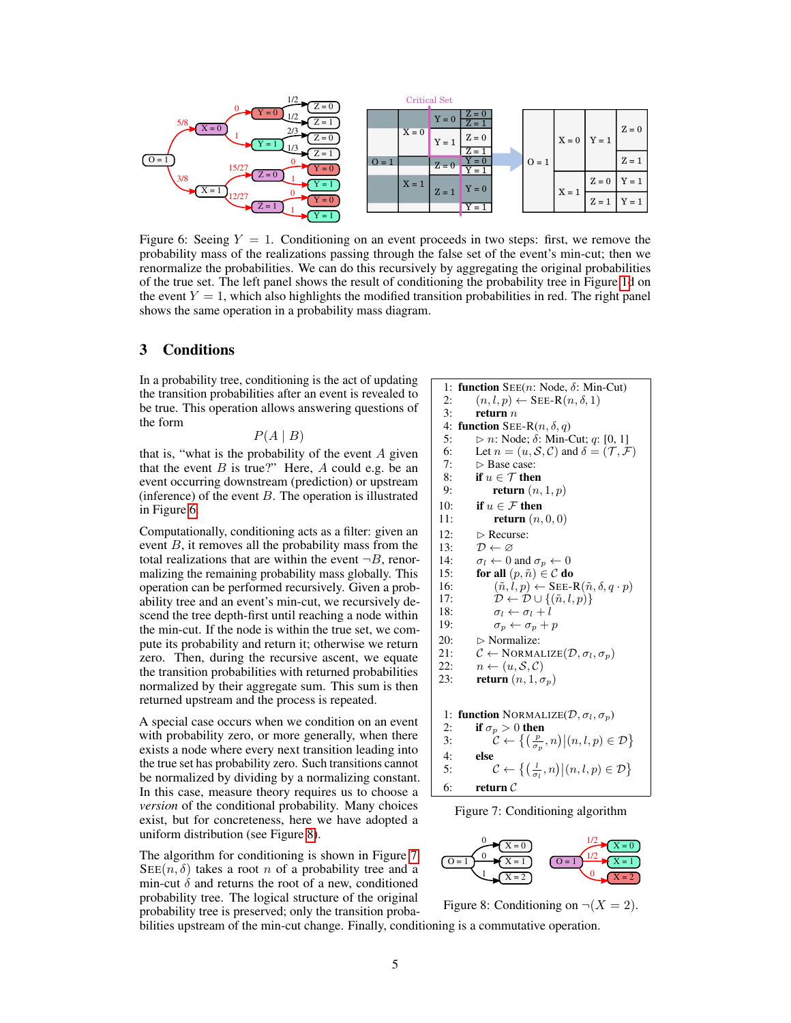<span id="page-4-0"></span>

Figure 6: Seeing  $Y = 1$ . Conditioning on an event proceeds in two steps: first, we remove the probability mass of the realizations passing through the false set of the event's min-cut; then we renormalize the probabilities. We can do this recursively by aggregating the original probabilities of the true set. The left panel shows the result of conditioning the probability tree in Figure [1d](#page-1-0) on the event  $Y = 1$ , which also highlights the modified transition probabilities in red. The right panel shows the same operation in a probability mass diagram.

## 3 Conditions

In a probability tree, conditioning is the act of updating the transition probabilities after an event is revealed to be true. This operation allows answering questions of the form

 $P(A | B)$ 

that is, "what is the probability of the event  $A$  given that the event  $B$  is true?" Here,  $A$  could e.g. be an event occurring downstream (prediction) or upstream (inference) of the event  $B$ . The operation is illustrated in Figure [6.](#page-4-0)

Computationally, conditioning acts as a filter: given an event  $B$ , it removes all the probability mass from the total realizations that are within the event  $\neg B$ , renormalizing the remaining probability mass globally. This operation can be performed recursively. Given a probability tree and an event's min-cut, we recursively descend the tree depth-first until reaching a node within the min-cut. If the node is within the true set, we compute its probability and return it; otherwise we return zero. Then, during the recursive ascent, we equate the transition probabilities with returned probabilities normalized by their aggregate sum. This sum is then returned upstream and the process is repeated.

A special case occurs when we condition on an event with probability zero, or more generally, when there exists a node where every next transition leading into the true set has probability zero. Such transitions cannot be normalized by dividing by a normalizing constant. In this case, measure theory requires us to choose a *version* of the conditional probability. Many choices exist, but for concreteness, here we have adopted a uniform distribution (see Figure [8\)](#page-4-1).

The algorithm for conditioning is shown in Figure [7.](#page-4-2)  $\text{SEE}(n, \delta)$  takes a root n of a probability tree and a min-cut  $\delta$  and returns the root of a new, conditioned probability tree. The logical structure of the original probability tree is preserved; only the transition proba-

<span id="page-4-2"></span>1: **function**  $SEE(n: Node, δ: Min-Cut)$ 2:  $(n, l, p) \leftarrow$  SEE-R $(n, \delta, 1)$ <br>3: **return** *n* return  $\boldsymbol{n}$ 4: function SEE-R $(n, \delta, q)$ 5:  $\triangleright$  n: Node;  $\delta$ : Min-Cut; q: [0, 1] 6: Let  $n = (u, S, C)$  and  $\delta = (\mathcal{T}, \mathcal{F})$ <br>7:  $\Rightarrow$  Base case:  $\triangleright$  Base case: 8: if  $u \in \mathcal{T}$  then 9: return  $(n, 1, p)$ 10: **if**  $u \in \mathcal{F}$  then<br>11: **return**  $(n,$ return  $(n, 0, 0)$ 12:  $\triangleright$  Recurse:<br>13:  $\mathcal{D} \leftarrow \varnothing$ 13:  $\mathcal{D} \leftarrow \varnothing$ <br>14:  $\sigma_i \leftarrow 0$ 14:  $\sigma_l \leftarrow 0$  and  $\sigma_p \leftarrow 0$ <br>15: **for all**  $(p, \tilde{n}) \in \mathcal{C}$  **do** for all  $(p, \tilde{n}) \in \mathcal{C}$  do 16:  $(\tilde{n}, l, p) \leftarrow \text{SEE-R}(\tilde{n}, \delta, q \cdot p)$ 17:  $\mathcal{D} \leftarrow \mathcal{D} \cup \{(\tilde{n}, l, p)\}\$ 18:  $\sigma_l \leftarrow \sigma_l + l$ <br>19:  $\sigma_p \leftarrow \sigma_p + l$  $\sigma_p \leftarrow \sigma_p + p$ 20:  $\triangleright$  Normalize: 21:  $C \leftarrow \text{NORMALIZE}(\mathcal{D}, \sigma_l, \sigma_p)$ <br>22:  $n \leftarrow (u, \mathcal{S}, \mathcal{C})$  $n \leftarrow (u, \mathcal{S}, \mathcal{C})$ 23: **return**  $(n, 1, \sigma_p)$ 1: function NORMALIZE( $\mathcal{D}, \sigma_l, \sigma_p$ ) 2: if  $\sigma_p > 0$  then 3:  $\mathcal{C} \leftarrow \left\{ \left( \frac{p}{\sigma_p}, n \right) | (n, l, p) \in \mathcal{D} \right\}$ 4: else 5:  $\mathcal{C} \leftarrow \left\{ \left( \frac{l}{\sigma_l}, n \right) | (n, l, p) \in \mathcal{D} \right\}$ 6: return  $C$ 



<span id="page-4-1"></span>

Figure 8: Conditioning on  $\neg(X = 2)$ .

bilities upstream of the min-cut change. Finally, conditioning is a commutative operation.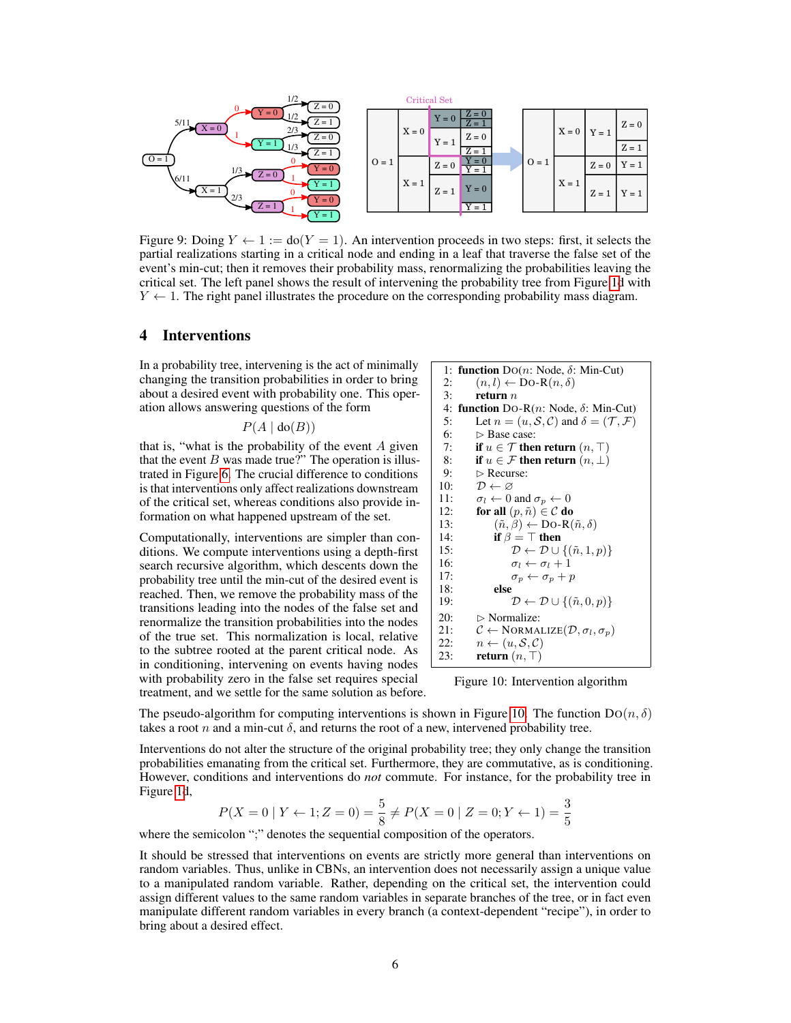

Figure 9: Doing  $Y \leftarrow 1 := \text{do}(Y = 1)$ . An intervention proceeds in two steps: first, it selects the partial realizations starting in a critical node and ending in a leaf that traverse the false set of the event's min-cut; then it removes their probability mass, renormalizing the probabilities leaving the critical set. The left panel shows the result of intervening the probability tree from Figure [1d](#page-1-0) with  $Y \leftarrow 1$ . The right panel illustrates the procedure on the corresponding probability mass diagram.

# 4 Interventions

In a probability tree, intervening is the act of minimally changing the transition probabilities in order to bring about a desired event with probability one. This operation allows answering questions of the form

$$
P(A \mid \text{do}(B))
$$

that is, "what is the probability of the event  $A$  given that the event  $B$  was made true?" The operation is illustrated in Figure [6.](#page-4-0) The crucial difference to conditions is that interventions only affect realizations downstream of the critical set, whereas conditions also provide information on what happened upstream of the set.

Computationally, interventions are simpler than conditions. We compute interventions using a depth-first search recursive algorithm, which descents down the probability tree until the min-cut of the desired event is reached. Then, we remove the probability mass of the transitions leading into the nodes of the false set and renormalize the transition probabilities into the nodes of the true set. This normalization is local, relative to the subtree rooted at the parent critical node. As in conditioning, intervening on events having nodes with probability zero in the false set requires special treatment, and we settle for the same solution as before.

```
1: function Do(n: Node, \delta: Min-Cut)2: (n, l) \leftarrow Do-R(n, \delta)<br>3: return n
                 return n4: function DO-R(n: Node, δ: Min-Cut)
  5: Let n = (u, S, C) and \delta = (\mathcal{T}, \mathcal{F})<br>6: \triangleright Base case:
  6: \triangleright Base case:<br>7: if u \in \mathcal{T} then
                 if u \in \mathcal{T} then return (n, \top)8: if u \in \mathcal{F} then return (n, \perp)<br>9: \triangleright Recurse:
9: \triangleright Recurse:<br>10: \mathcal{D} \leftarrow \varnothing10: \mathcal{D} \leftarrow \varnothing<br>11: \sigma_l \leftarrow 0\sigma_l \leftarrow 0 and \sigma_p \leftarrow 012: for all (p, \tilde{n}) \in \mathcal{C} do<br>13: (\tilde{n}, \beta) \leftarrow \text{Do-R}((\tilde{n}, \beta) \leftarrow Do-R(\tilde{n}, \delta)14: if \beta = \top then<br>15: \mathcal{D} \leftarrow \mathcal{D} \cup\mathcal{D} \leftarrow \mathcal{D} \cup \{(\tilde{n}, 1, p)\}16: \sigma_l \leftarrow \sigma_l + 1<br>17: \sigma_p \leftarrow \sigma_p + p\sigma_p \leftarrow \sigma_p + p18: else<br>19:
                                  \mathcal{D} \leftarrow \mathcal{D} \cup \{(\tilde{n}, 0, p)\}20: \triangleright Normalize:<br>21: \mathcal{C} \leftarrow NORMA
                 C \leftarrow \text{NORMALIZE}(\mathcal{D}, \sigma_l, \sigma_p)22: n \leftarrow (u, S, C)<br>23: return (n, T)return (n, \top)
```
Figure 10: Intervention algorithm

The pseudo-algorithm for computing interventions is shown in Figure [10.](#page-5-0) The function  $Do(n, \delta)$ takes a root n and a min-cut  $\delta$ , and returns the root of a new, intervened probability tree.

Interventions do not alter the structure of the original probability tree; they only change the transition probabilities emanating from the critical set. Furthermore, they are commutative, as is conditioning. However, conditions and interventions do *not* commute. For instance, for the probability tree in Figure [1d](#page-1-0),

$$
P(X = 0 | Y \leftarrow 1; Z = 0) = \frac{5}{8} \neq P(X = 0 | Z = 0; Y \leftarrow 1) = \frac{3}{5}
$$

where the semicolon ";" denotes the sequential composition of the operators.

It should be stressed that interventions on events are strictly more general than interventions on random variables. Thus, unlike in CBNs, an intervention does not necessarily assign a unique value to a manipulated random variable. Rather, depending on the critical set, the intervention could assign different values to the same random variables in separate branches of the tree, or in fact even manipulate different random variables in every branch (a context-dependent "recipe"), in order to bring about a desired effect.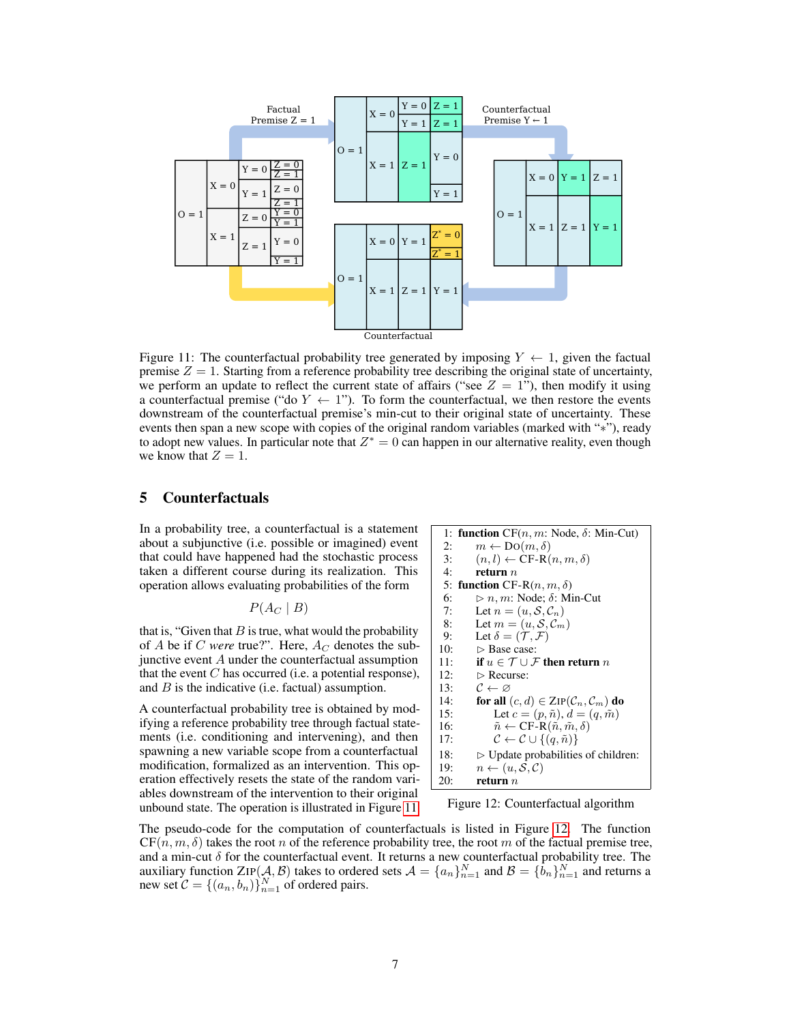<span id="page-6-0"></span>

Figure 11: The counterfactual probability tree generated by imposing  $Y \leftarrow 1$ , given the factual premise  $Z = 1$ . Starting from a reference probability tree describing the original state of uncertainty, we perform an update to reflect the current state of affairs ("see  $Z = 1$ "), then modify it using a counterfactual premise ("do  $Y \leftarrow 1$ "). To form the counterfactual, we then restore the events downstream of the counterfactual premise's min-cut to their original state of uncertainty. These events then span a new scope with copies of the original random variables (marked with "∗"), ready to adopt new values. In particular note that  $Z^* = 0$  can happen in our alternative reality, even though we know that  $Z = 1$ .

# 5 Counterfactuals

In a probability tree, a counterfactual is a statement about a subjunctive (i.e. possible or imagined) event that could have happened had the stochastic process taken a different course during its realization. This operation allows evaluating probabilities of the form

 $P(A_C | B)$ 

that is, "Given that  $B$  is true, what would the probability of  $A$  be if  $C$  *were* true?". Here,  $A_C$  denotes the subjunctive event  $A$  under the counterfactual assumption that the event  $C$  has occurred (i.e. a potential response), and  $B$  is the indicative (i.e. factual) assumption.

A counterfactual probability tree is obtained by modifying a reference probability tree through factual statements (i.e. conditioning and intervening), and then spawning a new variable scope from a counterfactual modification, formalized as an intervention. This operation effectively resets the state of the random variables downstream of the intervention to their original unbound state. The operation is illustrated in Figure [11.](#page-6-0)

<span id="page-6-1"></span>1: **function**  $CF(n, m: Node, δ: Min-Cut)$ 2:  $m \leftarrow Do(m, \delta)$ 3:  $(n, l) \leftarrow \text{CF-R}(n, m, \delta)$ 4: return  $n$ 5: function CF-R $(n, m, \delta)$ 6:  $\triangleright n, m$ : Node; δ: Min-Cut<br>7: Let  $n = (u, S, C_n)$ 7: Let  $n = (u, S, C_n)$ <br>8: Let  $m = (u, S, C_m)$ Let  $m = (u, \mathcal{S}, \mathcal{C}_m)$ 9: Let  $\delta = (\mathcal{T}, \mathcal{F})$ <br>10:  $\triangleright$  Base case: 10:  $\triangleright$  Base case:<br>11: **if**  $u \in \mathcal{T} \cup \mathcal{F}$ if  $u \in \mathcal{T} \cup \mathcal{F}$  then return  $n$ 12:  $\triangleright$  Recurse: 13:  $C \leftarrow \varnothing$ <br>14: for all 14: **for all**  $(c, d) \in \text{ZIP}(\mathcal{C}_n, \mathcal{C}_m)$  **do**<br>15: Let  $c = (p, \tilde{n}), d = (q, \tilde{m})$ Let  $c = (p, \tilde{n}), d = (q, \tilde{m})$ 16:  $\tilde{n} \leftarrow \text{CF-R}(\tilde{n}, \tilde{m}, \delta)$ 17:  $\mathcal{C} \leftarrow \mathcal{C} \cup \{(q, \tilde{n})\}$ 18:  $\Rightarrow$  Update probabilities of children:<br>19:  $n \leftarrow (u, S, C)$ 19:  $n \leftarrow (u, S, C)$ <br>20: **return** *n* return  $\boldsymbol{n}$ 

Figure 12: Counterfactual algorithm

The pseudo-code for the computation of counterfactuals is listed in Figure [12.](#page-6-1) The function  $CF(n, m, \delta)$  takes the root n of the reference probability tree, the root m of the factual premise tree, and a min-cut  $\delta$  for the counterfactual event. It returns a new counterfactual probability tree. The auxiliary function  $\text{ZIP}(\mathcal{A}, \mathcal{B})$  takes to ordered sets  $\mathcal{A} = \{a_n\}_{n=1}^N$  and  $\mathcal{B} = \{\tilde{b}_n\}_{n=1}^N$  and returns a new set  $C = \{(a_n, b_n)\}_{n=1}^N$  of ordered pairs.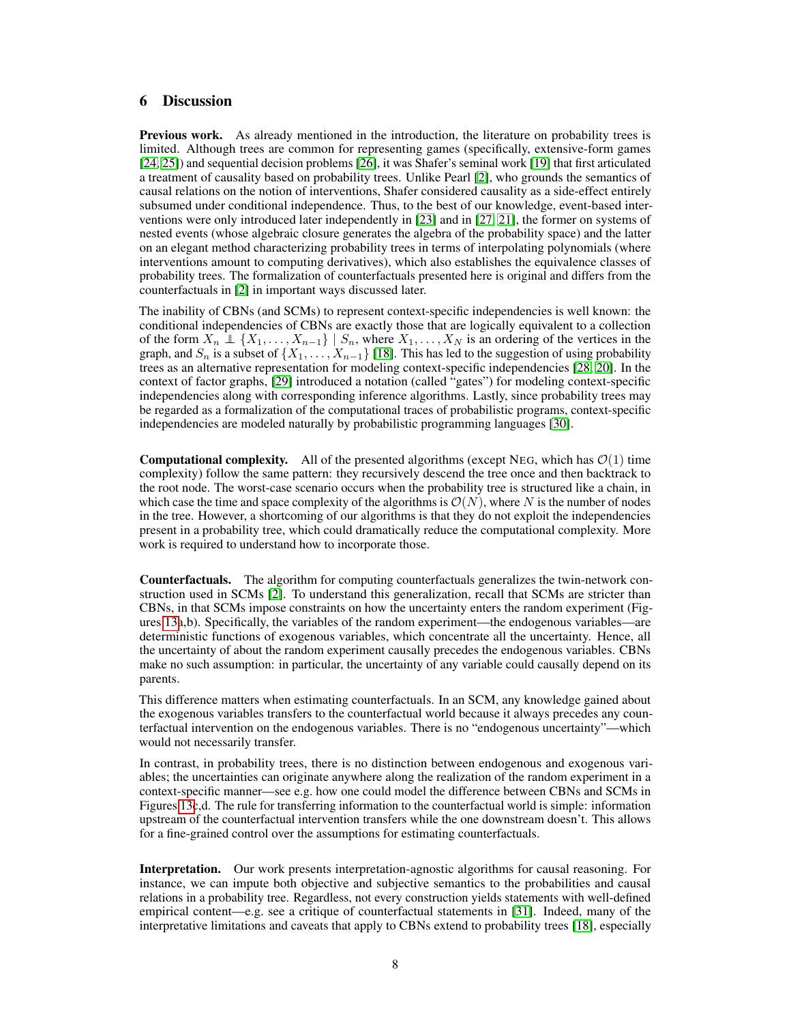## 6 Discussion

Previous work. As already mentioned in the introduction, the literature on probability trees is limited. Although trees are common for representing games (specifically, extensive-form games [\[24,](#page-10-4) [25\]](#page-10-5)) and sequential decision problems [\[26\]](#page-10-6), it was Shafer's seminal work [\[19\]](#page-10-0) that first articulated a treatment of causality based on probability trees. Unlike Pearl [\[2\]](#page-9-10), who grounds the semantics of causal relations on the notion of interventions, Shafer considered causality as a side-effect entirely subsumed under conditional independence. Thus, to the best of our knowledge, event-based interventions were only introduced later independently in [\[23\]](#page-10-2) and in [\[27,](#page-10-7) [21\]](#page-10-3), the former on systems of nested events (whose algebraic closure generates the algebra of the probability space) and the latter on an elegant method characterizing probability trees in terms of interpolating polynomials (where interventions amount to computing derivatives), which also establishes the equivalence classes of probability trees. The formalization of counterfactuals presented here is original and differs from the counterfactuals in [\[2\]](#page-9-10) in important ways discussed later.

The inability of CBNs (and SCMs) to represent context-specific independencies is well known: the conditional independencies of CBNs are exactly those that are logically equivalent to a collection of the form  $X_n \perp \{X_1, \ldots, X_{n-1}\}$  |  $S_n$ , where  $X_1, \ldots, X_N$  is an ordering of the vertices in the graph, and  $S_n$  is a subset of  $\{X_1, \ldots, X_{n-1}\}$  [\[18\]](#page-9-11). This has led to the suggestion of using probability trees as an alternative representation for modeling context-specific independencies [\[28,](#page-10-8) [20\]](#page-10-9). In the context of factor graphs, [\[29\]](#page-10-10) introduced a notation (called "gates") for modeling context-specific independencies along with corresponding inference algorithms. Lastly, since probability trees may be regarded as a formalization of the computational traces of probabilistic programs, context-specific independencies are modeled naturally by probabilistic programming languages [\[30\]](#page-10-11).

**Computational complexity.** All of the presented algorithms (except NEG, which has  $\mathcal{O}(1)$  time complexity) follow the same pattern: they recursively descend the tree once and then backtrack to the root node. The worst-case scenario occurs when the probability tree is structured like a chain, in which case the time and space complexity of the algorithms is  $\mathcal{O}(N)$ , where N is the number of nodes in the tree. However, a shortcoming of our algorithms is that they do not exploit the independencies present in a probability tree, which could dramatically reduce the computational complexity. More work is required to understand how to incorporate those.

Counterfactuals. The algorithm for computing counterfactuals generalizes the twin-network construction used in SCMs [\[2\]](#page-9-10). To understand this generalization, recall that SCMs are stricter than CBNs, in that SCMs impose constraints on how the uncertainty enters the random experiment (Figures [13a](#page-8-0),b). Specifically, the variables of the random experiment—the endogenous variables—are deterministic functions of exogenous variables, which concentrate all the uncertainty. Hence, all the uncertainty of about the random experiment causally precedes the endogenous variables. CBNs make no such assumption: in particular, the uncertainty of any variable could causally depend on its parents.

This difference matters when estimating counterfactuals. In an SCM, any knowledge gained about the exogenous variables transfers to the counterfactual world because it always precedes any counterfactual intervention on the endogenous variables. There is no "endogenous uncertainty"—which would not necessarily transfer.

In contrast, in probability trees, there is no distinction between endogenous and exogenous variables; the uncertainties can originate anywhere along the realization of the random experiment in a context-specific manner—see e.g. how one could model the difference between CBNs and SCMs in Figures [13c](#page-8-0),d. The rule for transferring information to the counterfactual world is simple: information upstream of the counterfactual intervention transfers while the one downstream doesn't. This allows for a fine-grained control over the assumptions for estimating counterfactuals.

Interpretation. Our work presents interpretation-agnostic algorithms for causal reasoning. For instance, we can impute both objective and subjective semantics to the probabilities and causal relations in a probability tree. Regardless, not every construction yields statements with well-defined empirical content—e.g. see a critique of counterfactual statements in [\[31\]](#page-10-12). Indeed, many of the interpretative limitations and caveats that apply to CBNs extend to probability trees [\[18\]](#page-9-11), especially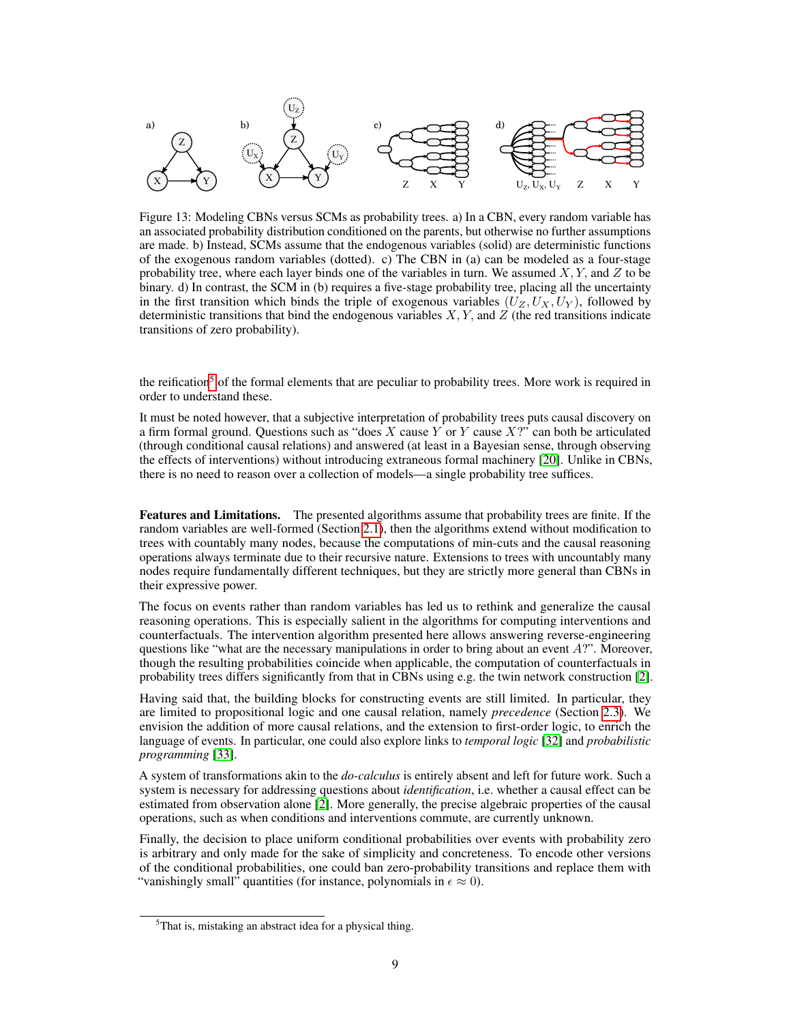<span id="page-8-0"></span>

Figure 13: Modeling CBNs versus SCMs as probability trees. a) In a CBN, every random variable has an associated probability distribution conditioned on the parents, but otherwise no further assumptions are made. b) Instead, SCMs assume that the endogenous variables (solid) are deterministic functions of the exogenous random variables (dotted). c) The CBN in (a) can be modeled as a four-stage probability tree, where each layer binds one of the variables in turn. We assumed  $X, Y$ , and  $Z$  to be binary. d) In contrast, the SCM in (b) requires a five-stage probability tree, placing all the uncertainty in the first transition which binds the triple of exogenous variables  $(U_Z, U_X, U_Y)$ , followed by deterministic transitions that bind the endogenous variables  $X, Y$ , and  $Z$  (the red transitions indicate transitions of zero probability).

the reification<sup>[5](#page-8-1)</sup> of the formal elements that are peculiar to probability trees. More work is required in order to understand these.

It must be noted however, that a subjective interpretation of probability trees puts causal discovery on a firm formal ground. Questions such as "does  $X$  cause  $Y$  or  $Y$  cause  $XY$ " can both be articulated (through conditional causal relations) and answered (at least in a Bayesian sense, through observing the effects of interventions) without introducing extraneous formal machinery [\[20\]](#page-10-9). Unlike in CBNs, there is no need to reason over a collection of models—a single probability tree suffices.

Features and Limitations. The presented algorithms assume that probability trees are finite. If the random variables are well-formed (Section [2.1\)](#page-1-3), then the algorithms extend without modification to trees with countably many nodes, because the computations of min-cuts and the causal reasoning operations always terminate due to their recursive nature. Extensions to trees with uncountably many nodes require fundamentally different techniques, but they are strictly more general than CBNs in their expressive power.

The focus on events rather than random variables has led us to rethink and generalize the causal reasoning operations. This is especially salient in the algorithms for computing interventions and counterfactuals. The intervention algorithm presented here allows answering reverse-engineering questions like "what are the necessary manipulations in order to bring about an event  $A$ ?". Moreover, though the resulting probabilities coincide when applicable, the computation of counterfactuals in probability trees differs significantly from that in CBNs using e.g. the twin network construction [\[2\]](#page-9-10).

Having said that, the building blocks for constructing events are still limited. In particular, they are limited to propositional logic and one causal relation, namely *precedence* (Section [2.3\)](#page-3-3). We envision the addition of more causal relations, and the extension to first-order logic, to enrich the language of events. In particular, one could also explore links to *temporal logic* [\[32\]](#page-10-13) and *probabilistic programming* [\[33\]](#page-10-14).

A system of transformations akin to the *do-calculus* is entirely absent and left for future work. Such a system is necessary for addressing questions about *identification*, i.e. whether a causal effect can be estimated from observation alone [\[2\]](#page-9-10). More generally, the precise algebraic properties of the causal operations, such as when conditions and interventions commute, are currently unknown.

Finally, the decision to place uniform conditional probabilities over events with probability zero is arbitrary and only made for the sake of simplicity and concreteness. To encode other versions of the conditional probabilities, one could ban zero-probability transitions and replace them with "vanishingly small" quantities (for instance, polynomials in  $\epsilon \approx 0$ ).

<span id="page-8-1"></span><sup>5</sup>That is, mistaking an abstract idea for a physical thing.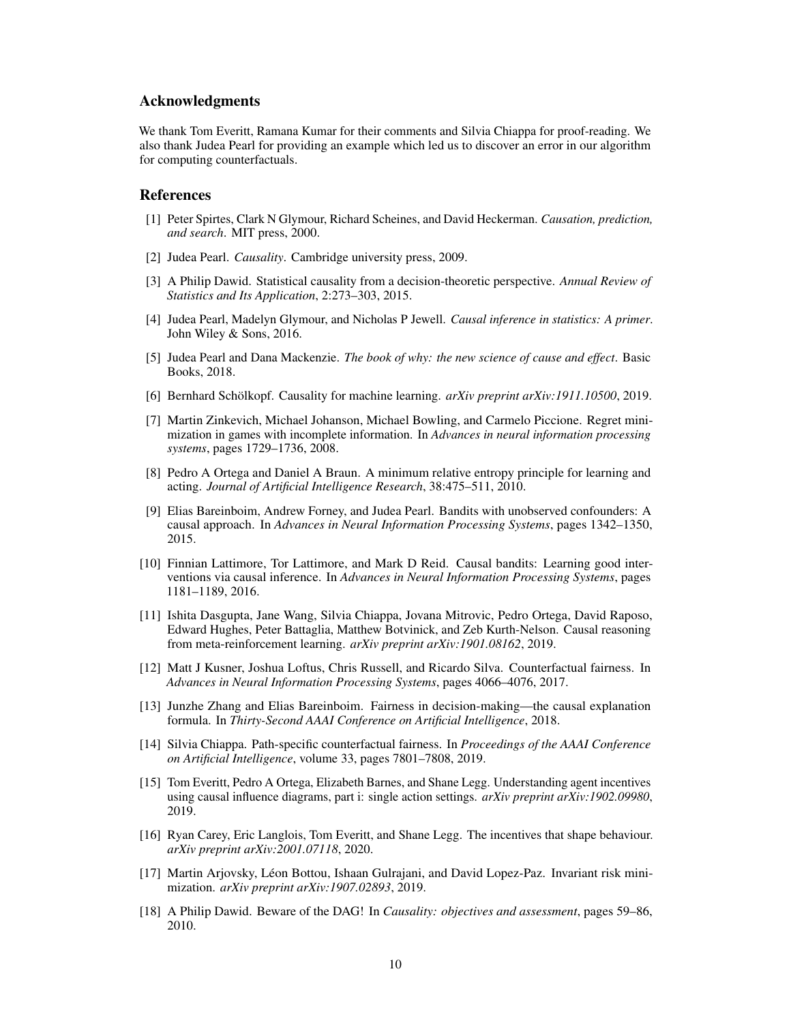### Acknowledgments

We thank Tom Everitt, Ramana Kumar for their comments and Silvia Chiappa for proof-reading. We also thank Judea Pearl for providing an example which led us to discover an error in our algorithm for computing counterfactuals.

## References

- <span id="page-9-0"></span>[1] Peter Spirtes, Clark N Glymour, Richard Scheines, and David Heckerman. *Causation, prediction, and search*. MIT press, 2000.
- <span id="page-9-10"></span>[2] Judea Pearl. *Causality*. Cambridge university press, 2009.
- [3] A Philip Dawid. Statistical causality from a decision-theoretic perspective. *Annual Review of Statistics and Its Application*, 2:273–303, 2015.
- [4] Judea Pearl, Madelyn Glymour, and Nicholas P Jewell. *Causal inference in statistics: A primer*. John Wiley & Sons, 2016.
- <span id="page-9-1"></span>[5] Judea Pearl and Dana Mackenzie. *The book of why: the new science of cause and effect*. Basic Books, 2018.
- <span id="page-9-2"></span>[6] Bernhard Schölkopf. Causality for machine learning. *arXiv preprint arXiv:1911.10500*, 2019.
- <span id="page-9-3"></span>[7] Martin Zinkevich, Michael Johanson, Michael Bowling, and Carmelo Piccione. Regret minimization in games with incomplete information. In *Advances in neural information processing systems*, pages 1729–1736, 2008.
- [8] Pedro A Ortega and Daniel A Braun. A minimum relative entropy principle for learning and acting. *Journal of Artificial Intelligence Research*, 38:475–511, 2010.
- [9] Elias Bareinboim, Andrew Forney, and Judea Pearl. Bandits with unobserved confounders: A causal approach. In *Advances in Neural Information Processing Systems*, pages 1342–1350, 2015.
- [10] Finnian Lattimore, Tor Lattimore, and Mark D Reid. Causal bandits: Learning good interventions via causal inference. In *Advances in Neural Information Processing Systems*, pages 1181–1189, 2016.
- <span id="page-9-4"></span>[11] Ishita Dasgupta, Jane Wang, Silvia Chiappa, Jovana Mitrovic, Pedro Ortega, David Raposo, Edward Hughes, Peter Battaglia, Matthew Botvinick, and Zeb Kurth-Nelson. Causal reasoning from meta-reinforcement learning. *arXiv preprint arXiv:1901.08162*, 2019.
- <span id="page-9-5"></span>[12] Matt J Kusner, Joshua Loftus, Chris Russell, and Ricardo Silva. Counterfactual fairness. In *Advances in Neural Information Processing Systems*, pages 4066–4076, 2017.
- [13] Junzhe Zhang and Elias Bareinboim. Fairness in decision-making—the causal explanation formula. In *Thirty-Second AAAI Conference on Artificial Intelligence*, 2018.
- <span id="page-9-6"></span>[14] Silvia Chiappa. Path-specific counterfactual fairness. In *Proceedings of the AAAI Conference on Artificial Intelligence*, volume 33, pages 7801–7808, 2019.
- <span id="page-9-7"></span>[15] Tom Everitt, Pedro A Ortega, Elizabeth Barnes, and Shane Legg. Understanding agent incentives using causal influence diagrams, part i: single action settings. *arXiv preprint arXiv:1902.09980*, 2019.
- <span id="page-9-8"></span>[16] Ryan Carey, Eric Langlois, Tom Everitt, and Shane Legg. The incentives that shape behaviour. *arXiv preprint arXiv:2001.07118*, 2020.
- <span id="page-9-9"></span>[17] Martin Arjovsky, Léon Bottou, Ishaan Gulrajani, and David Lopez-Paz. Invariant risk minimization. *arXiv preprint arXiv:1907.02893*, 2019.
- <span id="page-9-11"></span>[18] A Philip Dawid. Beware of the DAG! In *Causality: objectives and assessment*, pages 59–86, 2010.